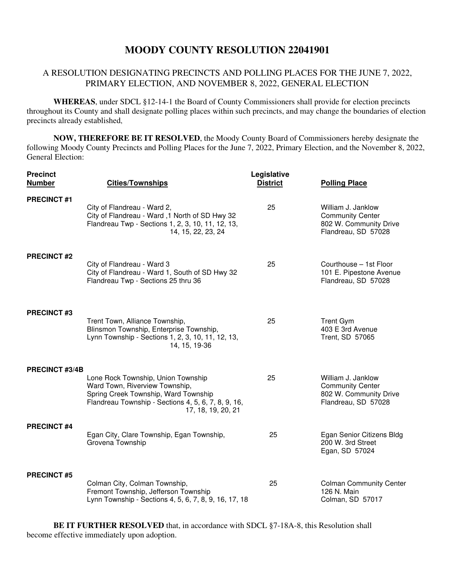## **MOODY COUNTY RESOLUTION 22041901**

## A RESOLUTION DESIGNATING PRECINCTS AND POLLING PLACES FOR THE JUNE 7, 2022, PRIMARY ELECTION, AND NOVEMBER 8, 2022, GENERAL ELECTION

**WHEREAS**, under SDCL §12-14-1 the Board of County Commissioners shall provide for election precincts throughout its County and shall designate polling places within such precincts, and may change the boundaries of election precincts already established,

**NOW, THEREFORE BE IT RESOLVED**, the Moody County Board of Commissioners hereby designate the following Moody County Precincts and Polling Places for the June 7, 2022, Primary Election, and the November 8, 2022, General Election:

| <b>Precinct</b><br><b>Number</b> | <b>Cities/Townships</b>                                                                                                                                                                   | Legislative<br><b>District</b> | <b>Polling Place</b>                                                                           |
|----------------------------------|-------------------------------------------------------------------------------------------------------------------------------------------------------------------------------------------|--------------------------------|------------------------------------------------------------------------------------------------|
| <b>PRECINCT#1</b>                | City of Flandreau - Ward 2,<br>City of Flandreau - Ward, 1 North of SD Hwy 32<br>Flandreau Twp - Sections 1, 2, 3, 10, 11, 12, 13,<br>14, 15, 22, 23, 24                                  | 25                             | William J. Janklow<br><b>Community Center</b><br>802 W. Community Drive<br>Flandreau, SD 57028 |
| <b>PRECINCT#2</b>                | City of Flandreau - Ward 3<br>City of Flandreau - Ward 1, South of SD Hwy 32<br>Flandreau Twp - Sections 25 thru 36                                                                       | 25                             | Courthouse - 1st Floor<br>101 E. Pipestone Avenue<br>Flandreau, SD 57028                       |
| <b>PRECINCT#3</b>                | Trent Town, Alliance Township,<br>Blinsmon Township, Enterprise Township,<br>Lynn Township - Sections 1, 2, 3, 10, 11, 12, 13,<br>14, 15, 19-36                                           | 25                             | <b>Trent Gym</b><br>403 E 3rd Avenue<br>Trent, SD 57065                                        |
| PRECINCT #3/4B                   | Lone Rock Township, Union Township<br>Ward Town, Riverview Township,<br>Spring Creek Township, Ward Township<br>Flandreau Township - Sections 4, 5, 6, 7, 8, 9, 16,<br>17, 18, 19, 20, 21 | 25                             | William J. Janklow<br><b>Community Center</b><br>802 W. Community Drive<br>Flandreau, SD 57028 |
| <b>PRECINCT #4</b>               | Egan City, Clare Township, Egan Township,<br>Grovena Township                                                                                                                             | 25                             | Egan Senior Citizens Bldg<br>200 W. 3rd Street<br>Egan, SD 57024                               |
| <b>PRECINCT#5</b>                | Colman City, Colman Township,<br>Fremont Township, Jefferson Township<br>Lynn Township - Sections 4, 5, 6, 7, 8, 9, 16, 17, 18                                                            | 25                             | <b>Colman Community Center</b><br>126 N. Main<br>Colman, SD 57017                              |

**BE IT FURTHER RESOLVED** that, in accordance with SDCL §7-18A-8, this Resolution shall become effective immediately upon adoption.